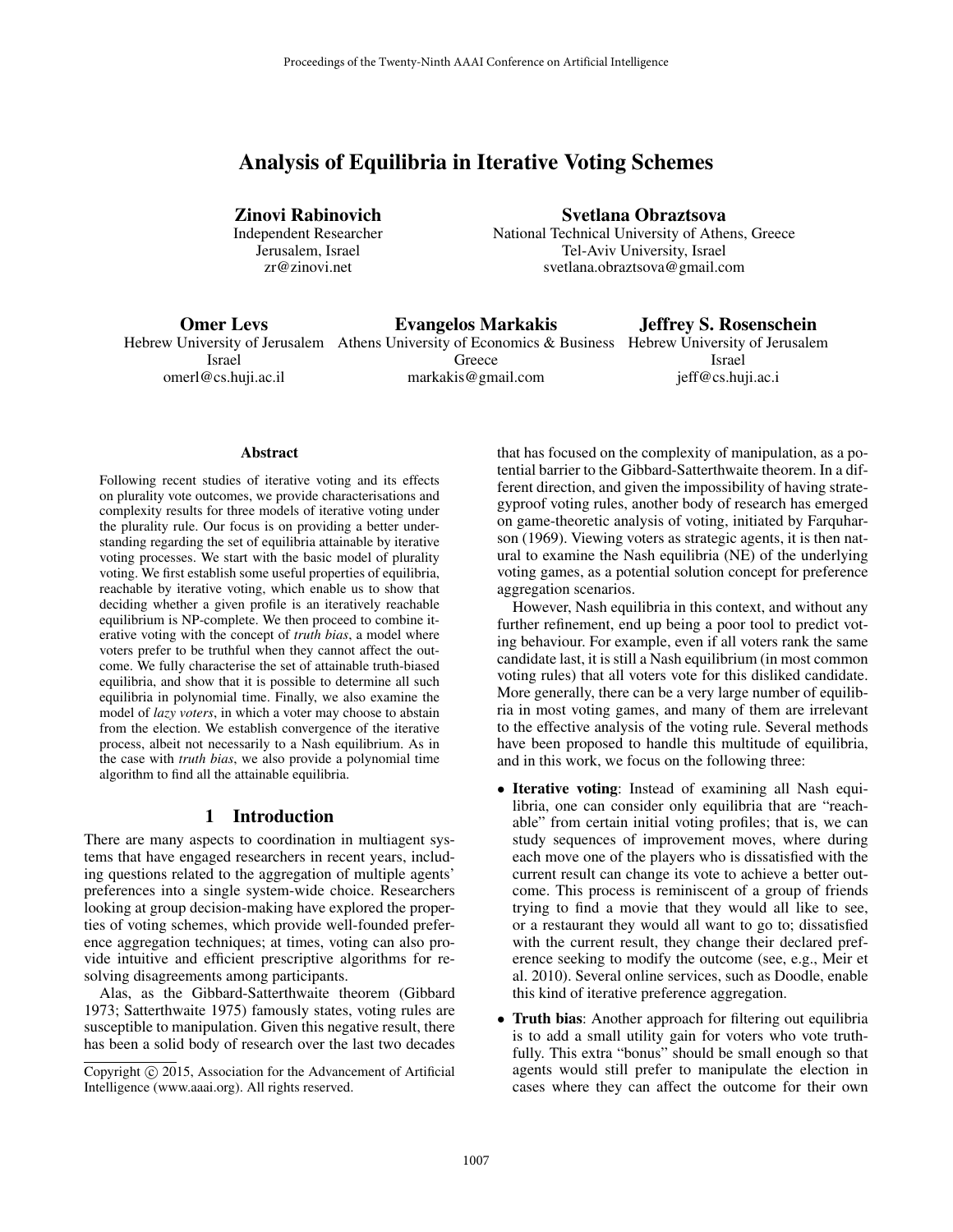# Analysis of Equilibria in Iterative Voting Schemes

Zinovi Rabinovich Independent Researcher Jerusalem, Israel zr@zinovi.net

Svetlana Obraztsova National Technical University of Athens, Greece Tel-Aviv University, Israel

svetlana.obraztsova@gmail.com

Omer Levs

Evangelos Markakis

Jeffrey S. Rosenschein

Israel omerl@cs.huji.ac.il

Hebrew University of Jerusalem Athens University of Economics & Business Hebrew University of Jerusalem Greece markakis@gmail.com

Israel jeff@cs.huji.ac.i

#### Abstract

Following recent studies of iterative voting and its effects on plurality vote outcomes, we provide characterisations and complexity results for three models of iterative voting under the plurality rule. Our focus is on providing a better understanding regarding the set of equilibria attainable by iterative voting processes. We start with the basic model of plurality voting. We first establish some useful properties of equilibria, reachable by iterative voting, which enable us to show that deciding whether a given profile is an iteratively reachable equilibrium is NP-complete. We then proceed to combine iterative voting with the concept of *truth bias*, a model where voters prefer to be truthful when they cannot affect the outcome. We fully characterise the set of attainable truth-biased equilibria, and show that it is possible to determine all such equilibria in polynomial time. Finally, we also examine the model of *lazy voters*, in which a voter may choose to abstain from the election. We establish convergence of the iterative process, albeit not necessarily to a Nash equilibrium. As in the case with *truth bias*, we also provide a polynomial time algorithm to find all the attainable equilibria.

## 1 Introduction

There are many aspects to coordination in multiagent systems that have engaged researchers in recent years, including questions related to the aggregation of multiple agents' preferences into a single system-wide choice. Researchers looking at group decision-making have explored the properties of voting schemes, which provide well-founded preference aggregation techniques; at times, voting can also provide intuitive and efficient prescriptive algorithms for resolving disagreements among participants.

Alas, as the Gibbard-Satterthwaite theorem (Gibbard 1973; Satterthwaite 1975) famously states, voting rules are susceptible to manipulation. Given this negative result, there has been a solid body of research over the last two decades

that has focused on the complexity of manipulation, as a potential barrier to the Gibbard-Satterthwaite theorem. In a different direction, and given the impossibility of having strategyproof voting rules, another body of research has emerged on game-theoretic analysis of voting, initiated by Farquharson (1969). Viewing voters as strategic agents, it is then natural to examine the Nash equilibria (NE) of the underlying voting games, as a potential solution concept for preference aggregation scenarios.

However, Nash equilibria in this context, and without any further refinement, end up being a poor tool to predict voting behaviour. For example, even if all voters rank the same candidate last, it is still a Nash equilibrium (in most common voting rules) that all voters vote for this disliked candidate. More generally, there can be a very large number of equilibria in most voting games, and many of them are irrelevant to the effective analysis of the voting rule. Several methods have been proposed to handle this multitude of equilibria, and in this work, we focus on the following three:

- Iterative voting: Instead of examining all Nash equilibria, one can consider only equilibria that are "reachable" from certain initial voting profiles; that is, we can study sequences of improvement moves, where during each move one of the players who is dissatisfied with the current result can change its vote to achieve a better outcome. This process is reminiscent of a group of friends trying to find a movie that they would all like to see, or a restaurant they would all want to go to; dissatisfied with the current result, they change their declared preference seeking to modify the outcome (see, e.g., Meir et al. 2010). Several online services, such as Doodle, enable this kind of iterative preference aggregation.
- Truth bias: Another approach for filtering out equilibria is to add a small utility gain for voters who vote truthfully. This extra "bonus" should be small enough so that agents would still prefer to manipulate the election in cases where they can affect the outcome for their own

Copyright (c) 2015, Association for the Advancement of Artificial Intelligence (www.aaai.org). All rights reserved.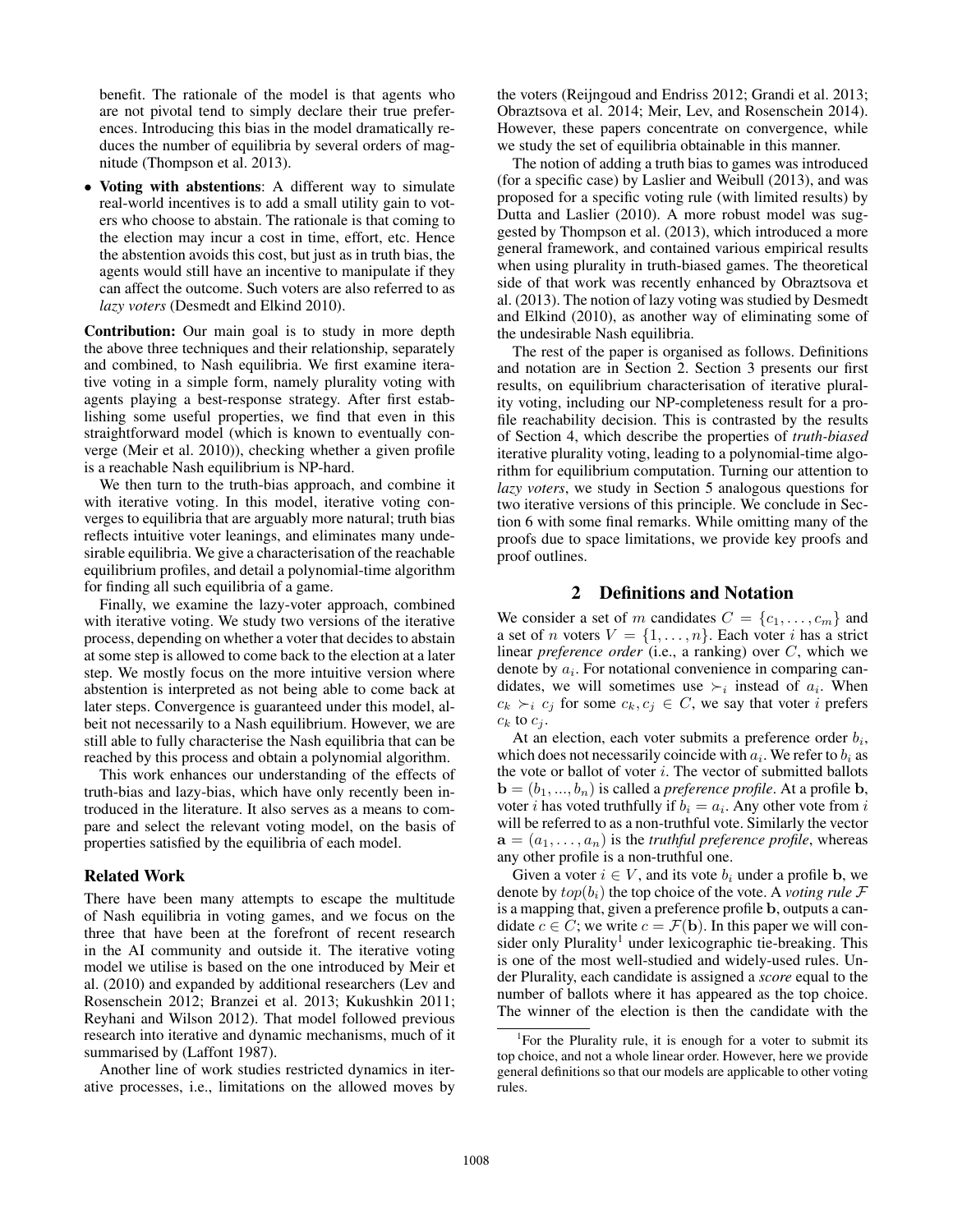benefit. The rationale of the model is that agents who are not pivotal tend to simply declare their true preferences. Introducing this bias in the model dramatically reduces the number of equilibria by several orders of magnitude (Thompson et al. 2013).

• Voting with abstentions: A different way to simulate real-world incentives is to add a small utility gain to voters who choose to abstain. The rationale is that coming to the election may incur a cost in time, effort, etc. Hence the abstention avoids this cost, but just as in truth bias, the agents would still have an incentive to manipulate if they can affect the outcome. Such voters are also referred to as *lazy voters* (Desmedt and Elkind 2010).

Contribution: Our main goal is to study in more depth the above three techniques and their relationship, separately and combined, to Nash equilibria. We first examine iterative voting in a simple form, namely plurality voting with agents playing a best-response strategy. After first establishing some useful properties, we find that even in this straightforward model (which is known to eventually converge (Meir et al. 2010)), checking whether a given profile is a reachable Nash equilibrium is NP-hard.

We then turn to the truth-bias approach, and combine it with iterative voting. In this model, iterative voting converges to equilibria that are arguably more natural; truth bias reflects intuitive voter leanings, and eliminates many undesirable equilibria. We give a characterisation of the reachable equilibrium profiles, and detail a polynomial-time algorithm for finding all such equilibria of a game.

Finally, we examine the lazy-voter approach, combined with iterative voting. We study two versions of the iterative process, depending on whether a voter that decides to abstain at some step is allowed to come back to the election at a later step. We mostly focus on the more intuitive version where abstention is interpreted as not being able to come back at later steps. Convergence is guaranteed under this model, albeit not necessarily to a Nash equilibrium. However, we are still able to fully characterise the Nash equilibria that can be reached by this process and obtain a polynomial algorithm.

This work enhances our understanding of the effects of truth-bias and lazy-bias, which have only recently been introduced in the literature. It also serves as a means to compare and select the relevant voting model, on the basis of properties satisfied by the equilibria of each model.

#### Related Work

There have been many attempts to escape the multitude of Nash equilibria in voting games, and we focus on the three that have been at the forefront of recent research in the AI community and outside it. The iterative voting model we utilise is based on the one introduced by Meir et al. (2010) and expanded by additional researchers (Lev and Rosenschein 2012; Branzei et al. 2013; Kukushkin 2011; Reyhani and Wilson 2012). That model followed previous research into iterative and dynamic mechanisms, much of it summarised by (Laffont 1987).

Another line of work studies restricted dynamics in iterative processes, i.e., limitations on the allowed moves by

the voters (Reijngoud and Endriss 2012; Grandi et al. 2013; Obraztsova et al. 2014; Meir, Lev, and Rosenschein 2014). However, these papers concentrate on convergence, while we study the set of equilibria obtainable in this manner.

The notion of adding a truth bias to games was introduced (for a specific case) by Laslier and Weibull (2013), and was proposed for a specific voting rule (with limited results) by Dutta and Laslier (2010). A more robust model was suggested by Thompson et al. (2013), which introduced a more general framework, and contained various empirical results when using plurality in truth-biased games. The theoretical side of that work was recently enhanced by Obraztsova et al. (2013). The notion of lazy voting was studied by Desmedt and Elkind (2010), as another way of eliminating some of the undesirable Nash equilibria.

The rest of the paper is organised as follows. Definitions and notation are in Section 2. Section 3 presents our first results, on equilibrium characterisation of iterative plurality voting, including our NP-completeness result for a profile reachability decision. This is contrasted by the results of Section 4, which describe the properties of *truth-biased* iterative plurality voting, leading to a polynomial-time algorithm for equilibrium computation. Turning our attention to *lazy voters*, we study in Section 5 analogous questions for two iterative versions of this principle. We conclude in Section 6 with some final remarks. While omitting many of the proofs due to space limitations, we provide key proofs and proof outlines.

# 2 Definitions and Notation

We consider a set of m candidates  $C = \{c_1, \ldots, c_m\}$  and a set of *n* voters  $V = \{1, \ldots, n\}$ . Each voter *i* has a strict linear *preference order* (i.e., a ranking) over C, which we denote by  $a_i$ . For notational convenience in comparing candidates, we will sometimes use  $\succ_i$  instead of  $a_i$ . When  $c_k \succ_i c_j$  for some  $c_k, c_j \in C$ , we say that voter i prefers  $c_k$  to  $c_j$ .

At an election, each voter submits a preference order  $b_i$ , which does not necessarily coincide with  $a_i$ . We refer to  $b_i$  as the vote or ballot of voter  $i$ . The vector of submitted ballots  $\mathbf{b} = (b_1, ..., b_n)$  is called a *preference profile*. At a profile **b**, voter *i* has voted truthfully if  $b_i = a_i$ . Any other vote from *i* will be referred to as a non-truthful vote. Similarly the vector  $\mathbf{a} = (a_1, \dots, a_n)$  is the *truthful preference profile*, whereas any other profile is a non-truthful one.

Given a voter  $i \in V$ , and its vote  $b_i$  under a profile b, we denote by  $top(b_i)$  the top choice of the vote. A *voting rule* F is a mapping that, given a preference profile b, outputs a candidate  $c \in C$ ; we write  $c = \mathcal{F}(\mathbf{b})$ . In this paper we will consider only Plurality<sup>1</sup> under lexicographic tie-breaking. This is one of the most well-studied and widely-used rules. Under Plurality, each candidate is assigned a *score* equal to the number of ballots where it has appeared as the top choice. The winner of the election is then the candidate with the

<sup>&</sup>lt;sup>1</sup>For the Plurality rule, it is enough for a voter to submit its top choice, and not a whole linear order. However, here we provide general definitions so that our models are applicable to other voting rules.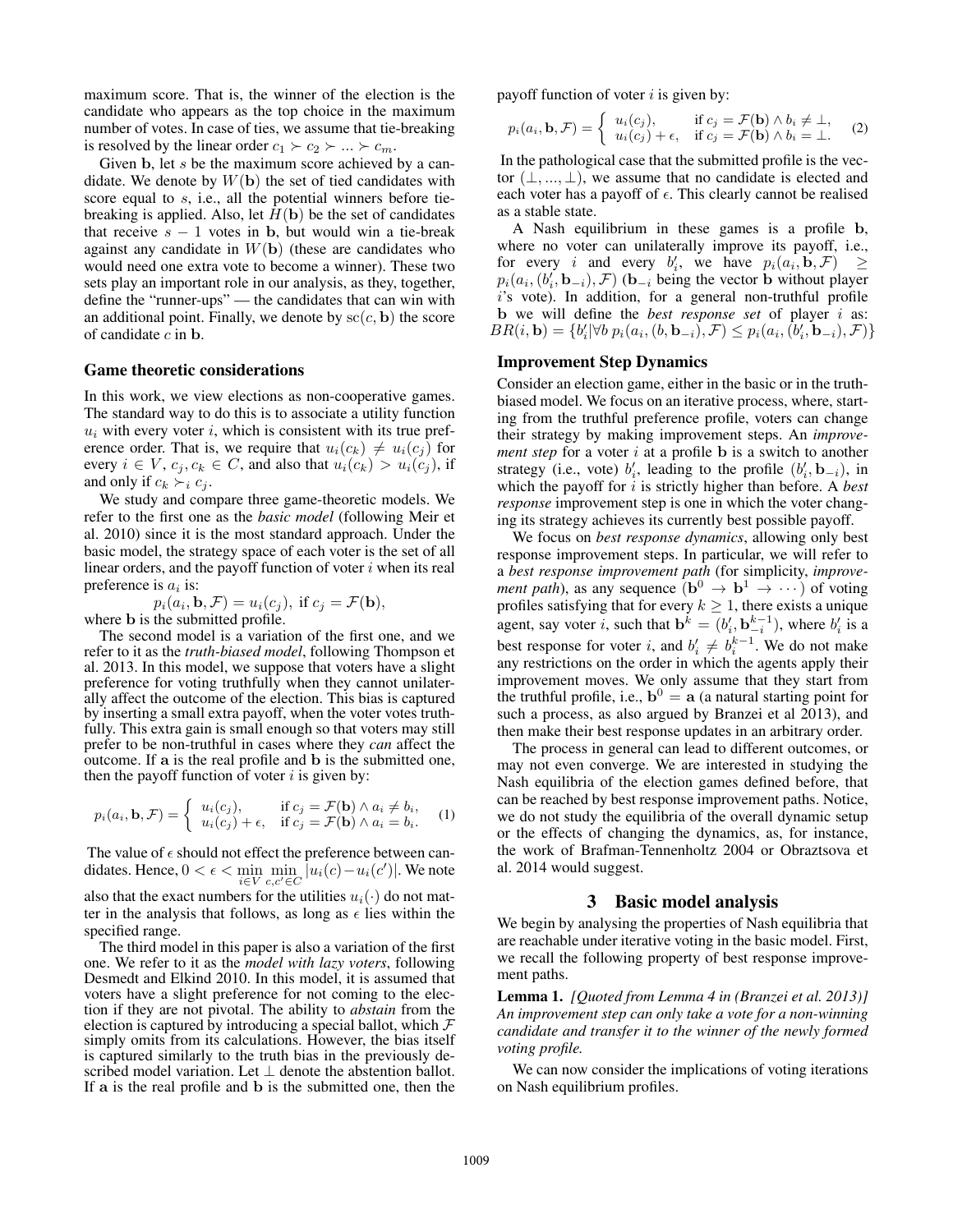maximum score. That is, the winner of the election is the candidate who appears as the top choice in the maximum number of votes. In case of ties, we assume that tie-breaking is resolved by the linear order  $c_1 \succ c_2 \succ ... \succ c_m$ .

Given b, let s be the maximum score achieved by a candidate. We denote by  $W(\mathbf{b})$  the set of tied candidates with score equal to s, i.e., all the potential winners before tiebreaking is applied. Also, let  $H(\mathbf{b})$  be the set of candidates that receive  $s - 1$  votes in b, but would win a tie-break against any candidate in  $W(\mathbf{b})$  (these are candidates who would need one extra vote to become a winner). These two sets play an important role in our analysis, as they, together, define the "runner-ups" — the candidates that can win with an additional point. Finally, we denote by  $\mathrm{sc}(c, \mathbf{b})$  the score of candidate  $c$  in  $\mathbf b$ .

## Game theoretic considerations

In this work, we view elections as non-cooperative games. The standard way to do this is to associate a utility function  $u_i$  with every voter i, which is consistent with its true preference order. That is, we require that  $u_i(c_k) \neq u_i(c_j)$  for every  $i \in V$ ,  $c_i, c_k \in C$ , and also that  $u_i(c_k) > u_i(c_i)$ , if and only if  $c_k \succ_i c_j$ .

We study and compare three game-theoretic models. We refer to the first one as the *basic model* (following Meir et al. 2010) since it is the most standard approach. Under the basic model, the strategy space of each voter is the set of all linear orders, and the payoff function of voter  $i$  when its real preference is  $a_i$  is:

$$
p_i(a_i, \mathbf{b}, \mathcal{F}) = u_i(c_j), \text{ if } c_j = \mathcal{F}(\mathbf{b}),
$$
  
is the submitted profile

where **b** is the submitted profile.

The second model is a variation of the first one, and we refer to it as the *truth-biased model*, following Thompson et al. 2013. In this model, we suppose that voters have a slight preference for voting truthfully when they cannot unilaterally affect the outcome of the election. This bias is captured by inserting a small extra payoff, when the voter votes truthfully. This extra gain is small enough so that voters may still prefer to be non-truthful in cases where they *can* affect the outcome. If a is the real profile and b is the submitted one, then the payoff function of voter  $i$  is given by:

$$
p_i(a_i, \mathbf{b}, \mathcal{F}) = \begin{cases} u_i(c_j), & \text{if } c_j = \mathcal{F}(\mathbf{b}) \land a_i \neq b_i, \\ u_i(c_j) + \epsilon, & \text{if } c_j = \mathcal{F}(\mathbf{b}) \land a_i = b_i. \end{cases}
$$
 (1)

The value of  $\epsilon$  should not effect the preference between candidates. Hence,  $0 < \epsilon < \min_{i \in V} \min_{c, c' \in C} |u_i(c) - u_i(c')|$ . We note also that the exact numbers for the utilities  $u_i(\cdot)$  do not mat-

ter in the analysis that follows, as long as  $\epsilon$  lies within the specified range.

The third model in this paper is also a variation of the first one. We refer to it as the *model with lazy voters*, following Desmedt and Elkind 2010. In this model, it is assumed that voters have a slight preference for not coming to the election if they are not pivotal. The ability to *abstain* from the election is captured by introducing a special ballot, which  $\mathcal F$ simply omits from its calculations. However, the bias itself is captured similarly to the truth bias in the previously described model variation. Let  $\perp$  denote the abstention ballot. If a is the real profile and b is the submitted one, then the payoff function of voter  $i$  is given by:

$$
p_i(a_i, \mathbf{b}, \mathcal{F}) = \begin{cases} u_i(c_j), & \text{if } c_j = \mathcal{F}(\mathbf{b}) \land b_i \neq \bot, \\ u_i(c_j) + \epsilon, & \text{if } c_j = \mathcal{F}(\mathbf{b}) \land b_i = \bot. \end{cases} \tag{2}
$$

In the pathological case that the submitted profile is the vector  $(\perp, ..., \perp)$ , we assume that no candidate is elected and each voter has a payoff of  $\epsilon$ . This clearly cannot be realised as a stable state.

A Nash equilibrium in these games is a profile b, where no voter can unilaterally improve its payoff, i.e., for every i and every  $b'_i$ , we have  $p_i(a_i, \mathbf{b}, \mathcal{F}) \geq$  $p_i(a_i, (b'_i, \mathbf{b}_{-i}), \mathcal{F})$  ( $\mathbf{b}_{-i}$  being the vector **b** without player i's vote). In addition, for a general non-truthful profile b we will define the *best response set* of player i as:  $BR(i, \mathbf{b}) = \{b'_i | \forall b \ p_i(a_i, (b, \mathbf{b}_{-i}), \mathcal{F}) \leq p_i(a_i, (b'_i, \mathbf{b}_{-i}), \mathcal{F})\}$ 

# Improvement Step Dynamics

Consider an election game, either in the basic or in the truthbiased model. We focus on an iterative process, where, starting from the truthful preference profile, voters can change their strategy by making improvement steps. An *improvement step* for a voter  $i$  at a profile  $\bf{b}$  is a switch to another strategy (i.e., vote)  $b'_i$ , leading to the profile  $(b'_i, \mathbf{b}_{-i})$ , in which the payoff for i is strictly higher than before. A *best response* improvement step is one in which the voter changing its strategy achieves its currently best possible payoff.

We focus on *best response dynamics*, allowing only best response improvement steps. In particular, we will refer to a *best response improvement path* (for simplicity, *improvement path*), as any sequence  $(b^0 \rightarrow b^1 \rightarrow \cdots)$  of voting profiles satisfying that for every  $k \geq 1$ , there exists a unique agent, say voter *i*, such that  $\mathbf{b}^k = (b'_i, \mathbf{b}_{-i}^{k-1})$ , where  $b'_i$  is a best response for voter *i*, and  $b'_i \neq b_i^{k-1}$ . We do not make any restrictions on the order in which the agents apply their improvement moves. We only assume that they start from the truthful profile, i.e.,  $\mathbf{b}^0 = \mathbf{a}$  (a natural starting point for such a process, as also argued by Branzei et al 2013), and then make their best response updates in an arbitrary order.

The process in general can lead to different outcomes, or may not even converge. We are interested in studying the Nash equilibria of the election games defined before, that can be reached by best response improvement paths. Notice, we do not study the equilibria of the overall dynamic setup or the effects of changing the dynamics, as, for instance, the work of Brafman-Tennenholtz 2004 or Obraztsova et al. 2014 would suggest.

#### 3 Basic model analysis

We begin by analysing the properties of Nash equilibria that are reachable under iterative voting in the basic model. First, we recall the following property of best response improvement paths.

Lemma 1. *[Quoted from Lemma 4 in (Branzei et al. 2013)] An improvement step can only take a vote for a non-winning candidate and transfer it to the winner of the newly formed voting profile.*

We can now consider the implications of voting iterations on Nash equilibrium profiles.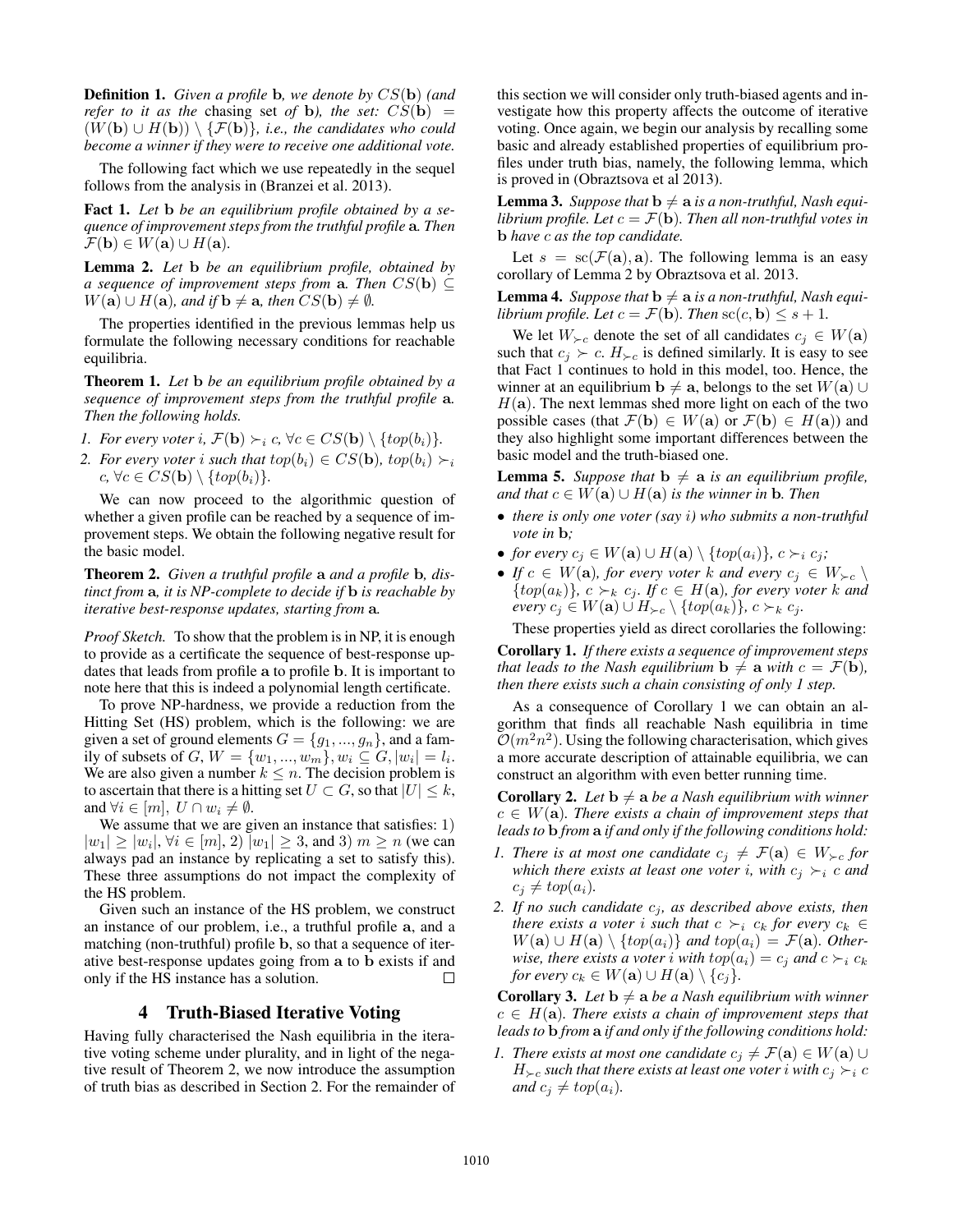Definition 1. *Given a profile* b*, we denote by* CS(b) *(and refer to it as the chasing set of b), the set:*  $CS(b)$  =  $(W(\mathbf{b}) \cup H(\mathbf{b})) \setminus {\{\mathcal{F}(\mathbf{b})\}}$ *, i.e., the candidates who could become a winner if they were to receive one additional vote.*

The following fact which we use repeatedly in the sequel follows from the analysis in (Branzei et al. 2013).

Fact 1. *Let* b *be an equilibrium profile obtained by a sequence of improvement steps from the truthful profile* a*. Then*  $\mathcal{F}(\mathbf{b}) \in W(\mathbf{a}) \cup H(\mathbf{a}).$ 

Lemma 2. *Let* b *be an equilibrium profile, obtained by a sequence of improvement steps from* **a**. Then  $CS(\mathbf{b}) \subseteq$  $W(\mathbf{a}) \cup H(\mathbf{a})$ *, and if*  $\mathbf{b} \neq \mathbf{a}$ *, then*  $CS(\mathbf{b}) \neq \emptyset$ *.* 

The properties identified in the previous lemmas help us formulate the following necessary conditions for reachable equilibria.

Theorem 1. *Let* b *be an equilibrium profile obtained by a sequence of improvement steps from the truthful profile* a*. Then the following holds.*

- *1. For every voter i*,  $\mathcal{F}(\mathbf{b}) \succ_i c$ ,  $\forall c \in CS(\mathbf{b}) \setminus \{top(b_i)\}.$
- *2. For every voter i such that*  $top(b_i) \in CS(b)$ *,*  $top(b_i) \succ_i$  $c, \forall c \in CS(\mathbf{b}) \setminus \{top(b_i)\}.$

We can now proceed to the algorithmic question of whether a given profile can be reached by a sequence of improvement steps. We obtain the following negative result for the basic model.

Theorem 2. *Given a truthful profile* a *and a profile* b*, distinct from* a*, it is NP-complete to decide if* b *is reachable by iterative best-response updates, starting from* a*.*

*Proof Sketch.* To show that the problem is in NP, it is enough to provide as a certificate the sequence of best-response updates that leads from profile a to profile b. It is important to note here that this is indeed a polynomial length certificate.

To prove NP-hardness, we provide a reduction from the Hitting Set (HS) problem, which is the following: we are given a set of ground elements  $G = \{g_1, ..., g_n\}$ , and a family of subsets of  $G, W = \{w_1, ..., w_m\}, w_i \subseteq G, |w_i| = l_i.$ We are also given a number  $k \leq n$ . The decision problem is to ascertain that there is a hitting set  $U \subset G$ , so that  $|U| \leq k$ , and  $\forall i \in [m], U \cap w_i \neq \emptyset$ .

We assume that we are given an instance that satisfies: 1)  $|w_1| \ge |w_i|, \forall i \in [m], 2) |w_1| \ge 3$ , and 3)  $m \ge n$  (we can always pad an instance by replicating a set to satisfy this). These three assumptions do not impact the complexity of the HS problem.

Given such an instance of the HS problem, we construct an instance of our problem, i.e., a truthful profile a, and a matching (non-truthful) profile b, so that a sequence of iterative best-response updates going from a to b exists if and only if the HS instance has a solution.  $\Box$ 

# 4 Truth-Biased Iterative Voting

Having fully characterised the Nash equilibria in the iterative voting scheme under plurality, and in light of the negative result of Theorem 2, we now introduce the assumption of truth bias as described in Section 2. For the remainder of

this section we will consider only truth-biased agents and investigate how this property affects the outcome of iterative voting. Once again, we begin our analysis by recalling some basic and already established properties of equilibrium profiles under truth bias, namely, the following lemma, which is proved in (Obraztsova et al 2013).

**Lemma 3.** Suppose that  $\mathbf{b} \neq \mathbf{a}$  is a non-truthful, Nash equi*librium profile. Let*  $c = \mathcal{F}(\mathbf{b})$ *. Then all non-truthful votes in* b *have* c *as the top candidate.*

Let  $s = sc(\mathcal{F}(\mathbf{a}), \mathbf{a})$ . The following lemma is an easy corollary of Lemma 2 by Obraztsova et al. 2013.

**Lemma 4.** Suppose that  $\mathbf{b} \neq \mathbf{a}$  is a non-truthful, Nash equi*librium profile. Let*  $c = \mathcal{F}(\mathbf{b})$ *. Then*  $\operatorname{sc}(c, \mathbf{b}) \leq s + 1$ *.* 

We let  $W_{\succ c}$  denote the set of all candidates  $c_j \in W(\mathbf{a})$ such that  $c_i \succ c$ .  $H_{\succ c}$  is defined similarly. It is easy to see that Fact 1 continues to hold in this model, too. Hence, the winner at an equilibrium  $\mathbf{b} \neq \mathbf{a}$ , belongs to the set  $W(\mathbf{a}) \cup \mathbf{a}$  $H(a)$ . The next lemmas shed more light on each of the two possible cases (that  $\mathcal{F}(\mathbf{b}) \in W(\mathbf{a})$  or  $\mathcal{F}(\mathbf{b}) \in H(\mathbf{a})$ ) and they also highlight some important differences between the basic model and the truth-biased one.

**Lemma 5.** *Suppose that*  $\mathbf{b} \neq \mathbf{a}$  *is an equilibrium profile, and that*  $c \in W(\mathbf{a}) \cup H(\mathbf{a})$  *is the winner in* **b**. Then

- *there is only one voter (say* i*) who submits a non-truthful vote in* b*;*
- *for every*  $c_j \in W(\mathbf{a}) \cup H(\mathbf{a}) \setminus \{top(a_i)\}, c \succ_i c_j;$
- *If*  $c \in W(\mathbf{a})$ *, for every voter* k *and every*  $c_j \in W_{\succ c} \setminus$  $\{top(a_k)\},\ c \succ_k c_j.\ If\ c \in H(\mathbf{a})\text{, for every order }k\ \text{and}\$ *every*  $c_j \in W(\mathbf{a}) \cup H_{\succ c} \setminus \{top(a_k)\}, c \succ_k c_j$ *.*

These properties yield as direct corollaries the following:

Corollary 1. *If there exists a sequence of improvement steps that leads to the Nash equilibrium*  $\mathbf{b} \neq \mathbf{a}$  *with*  $c = \mathcal{F}(\mathbf{b})$ *, then there exists such a chain consisting of only 1 step.*

As a consequence of Corollary 1 we can obtain an algorithm that finds all reachable Nash equilibria in time  $\mathcal{O}(m^2n^2)$ . Using the following characterisation, which gives a more accurate description of attainable equilibria, we can construct an algorithm with even better running time.

**Corollary 2.** Let  $\mathbf{b} \neq \mathbf{a}$  be a Nash equilibrium with winner  $c \in W(\mathbf{a})$ *. There exists a chain of improvement steps that leads to* b *from* a *if and only if the following conditions hold:*

- *1. There is at most one candidate*  $c_i \neq \mathcal{F}(\mathbf{a}) \in W_{\succ c}$  for *which there exists at least one voter i, with*  $c_i \succ_i c$  *and*  $c_j \neq top(a_i)$ *.*
- *2. If no such candidate*  $c_j$ *, as described above exists, then there exists a voter i such that*  $c \succ_i c_k$  *for every*  $c_k \in$  $W(a) ∪ H(a) \ \{top{top(a_i)}\}$  *and top*( $a_i$ ) =  $\mathcal{F}$ (**a**)*. Otherwise, there exists a voter i with*  $top(a_i) = c_i$  *and*  $c \succ_i c_k$ *for every*  $c_k \in W(\mathbf{a}) \cup H(\mathbf{a}) \setminus \{c_i\}.$

**Corollary 3.** Let  $\mathbf{b} \neq \mathbf{a}$  be a Nash equilibrium with winner  $c \in H(\mathbf{a})$ . There exists a chain of improvement steps that *leads to* b *from* a *if and only if the following conditions hold:*

*1. There exists at most one candidate*  $c_i \neq \mathcal{F}(\mathbf{a}) \in W(\mathbf{a}) \cup$  $H_{\geq c}$  such that there exists at least one voter *i* with  $c_i \geq i$  c *and*  $c_i \neq top(a_i)$ *.*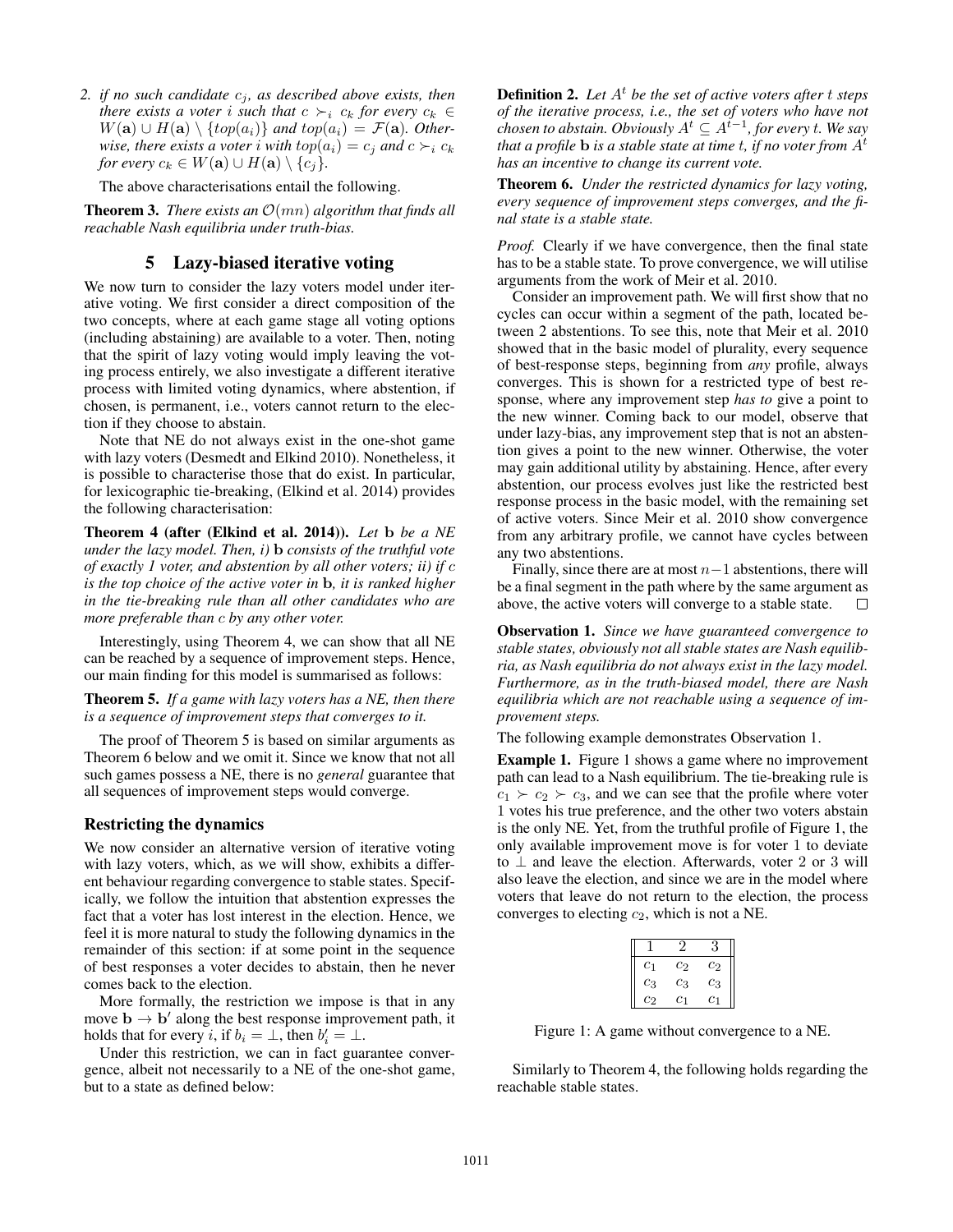*2. if no such candidate*  $c_j$ *, as described above exists, then there exists a voter i such that*  $c \succ_i c_k$  *for every*  $c_k \in$  $W(\mathbf{a}) \cup H(\mathbf{a}) \setminus \{top(a_i)\}\$ and  $top(a_i) = \mathcal{F}(\mathbf{a})$ . Other*wise, there exists a voter i with*  $top(a_i) = c_j$  *and*  $c \succ_i c_k$ *for every*  $c_k \in W(\mathbf{a}) \cup H(\mathbf{a}) \setminus \{c_j\}.$ 

The above characterisations entail the following.

**Theorem 3.** *There exists an*  $\mathcal{O}(mn)$  *algorithm that finds all reachable Nash equilibria under truth-bias.*

# 5 Lazy-biased iterative voting

We now turn to consider the lazy voters model under iterative voting. We first consider a direct composition of the two concepts, where at each game stage all voting options (including abstaining) are available to a voter. Then, noting that the spirit of lazy voting would imply leaving the voting process entirely, we also investigate a different iterative process with limited voting dynamics, where abstention, if chosen, is permanent, i.e., voters cannot return to the election if they choose to abstain.

Note that NE do not always exist in the one-shot game with lazy voters (Desmedt and Elkind 2010). Nonetheless, it is possible to characterise those that do exist. In particular, for lexicographic tie-breaking, (Elkind et al. 2014) provides the following characterisation:

Theorem 4 (after (Elkind et al. 2014)). *Let* b *be a NE under the lazy model. Then, i)* b *consists of the truthful vote of exactly 1 voter, and abstention by all other voters; ii) if* c *is the top choice of the active voter in* b*, it is ranked higher in the tie-breaking rule than all other candidates who are more preferable than* c *by any other voter.*

Interestingly, using Theorem 4, we can show that all NE can be reached by a sequence of improvement steps. Hence, our main finding for this model is summarised as follows:

Theorem 5. *If a game with lazy voters has a NE, then there is a sequence of improvement steps that converges to it.*

The proof of Theorem 5 is based on similar arguments as Theorem 6 below and we omit it. Since we know that not all such games possess a NE, there is no *general* guarantee that all sequences of improvement steps would converge.

#### Restricting the dynamics

We now consider an alternative version of iterative voting with lazy voters, which, as we will show, exhibits a different behaviour regarding convergence to stable states. Specifically, we follow the intuition that abstention expresses the fact that a voter has lost interest in the election. Hence, we feel it is more natural to study the following dynamics in the remainder of this section: if at some point in the sequence of best responses a voter decides to abstain, then he never comes back to the election.

More formally, the restriction we impose is that in any move  $\mathbf{b} \to \mathbf{b}'$  along the best response improvement path, it holds that for every *i*, if  $b_i = \perp$ , then  $b'_i = \perp$ .

Under this restriction, we can in fact guarantee convergence, albeit not necessarily to a NE of the one-shot game, but to a state as defined below:

**Definition 2.** Let  $A<sup>t</sup>$  be the set of active voters after t steps *of the iterative process, i.e., the set of voters who have not*  $\alpha$ *chosen to abstain. Obviously*  $A^t \subseteq A^{t-1}$ *, for every t. We say that a profile* b *is a stable state at time* t*, if no voter from* A<sup>t</sup> *has an incentive to change its current vote.*

Theorem 6. *Under the restricted dynamics for lazy voting, every sequence of improvement steps converges, and the final state is a stable state.*

*Proof.* Clearly if we have convergence, then the final state has to be a stable state. To prove convergence, we will utilise arguments from the work of Meir et al. 2010.

Consider an improvement path. We will first show that no cycles can occur within a segment of the path, located between 2 abstentions. To see this, note that Meir et al. 2010 showed that in the basic model of plurality, every sequence of best-response steps, beginning from *any* profile, always converges. This is shown for a restricted type of best response, where any improvement step *has to* give a point to the new winner. Coming back to our model, observe that under lazy-bias, any improvement step that is not an abstention gives a point to the new winner. Otherwise, the voter may gain additional utility by abstaining. Hence, after every abstention, our process evolves just like the restricted best response process in the basic model, with the remaining set of active voters. Since Meir et al. 2010 show convergence from any arbitrary profile, we cannot have cycles between any two abstentions.

Finally, since there are at most  $n-1$  abstentions, there will be a final segment in the path where by the same argument as above, the active voters will converge to a stable state.  $\Box$ 

Observation 1. *Since we have guaranteed convergence to stable states, obviously not all stable states are Nash equilibria, as Nash equilibria do not always exist in the lazy model. Furthermore, as in the truth-biased model, there are Nash equilibria which are not reachable using a sequence of improvement steps.*

The following example demonstrates Observation 1.

Example 1. Figure 1 shows a game where no improvement path can lead to a Nash equilibrium. The tie-breaking rule is  $c_1 \succ c_2 \succ c_3$ , and we can see that the profile where voter 1 votes his true preference, and the other two voters abstain is the only NE. Yet, from the truthful profile of Figure 1, the only available improvement move is for voter 1 to deviate to ⊥ and leave the election. Afterwards, voter 2 or 3 will also leave the election, and since we are in the model where voters that leave do not return to the election, the process converges to electing  $c_2$ , which is not a NE.

| c <sub>1</sub> | $c_2$          | $c_2$   |
|----------------|----------------|---------|
| $c_3$          | $c_3$          | $c_{3}$ |
| $c_2$          | c <sub>1</sub> | C1      |

Figure 1: A game without convergence to a NE.

Similarly to Theorem 4, the following holds regarding the reachable stable states.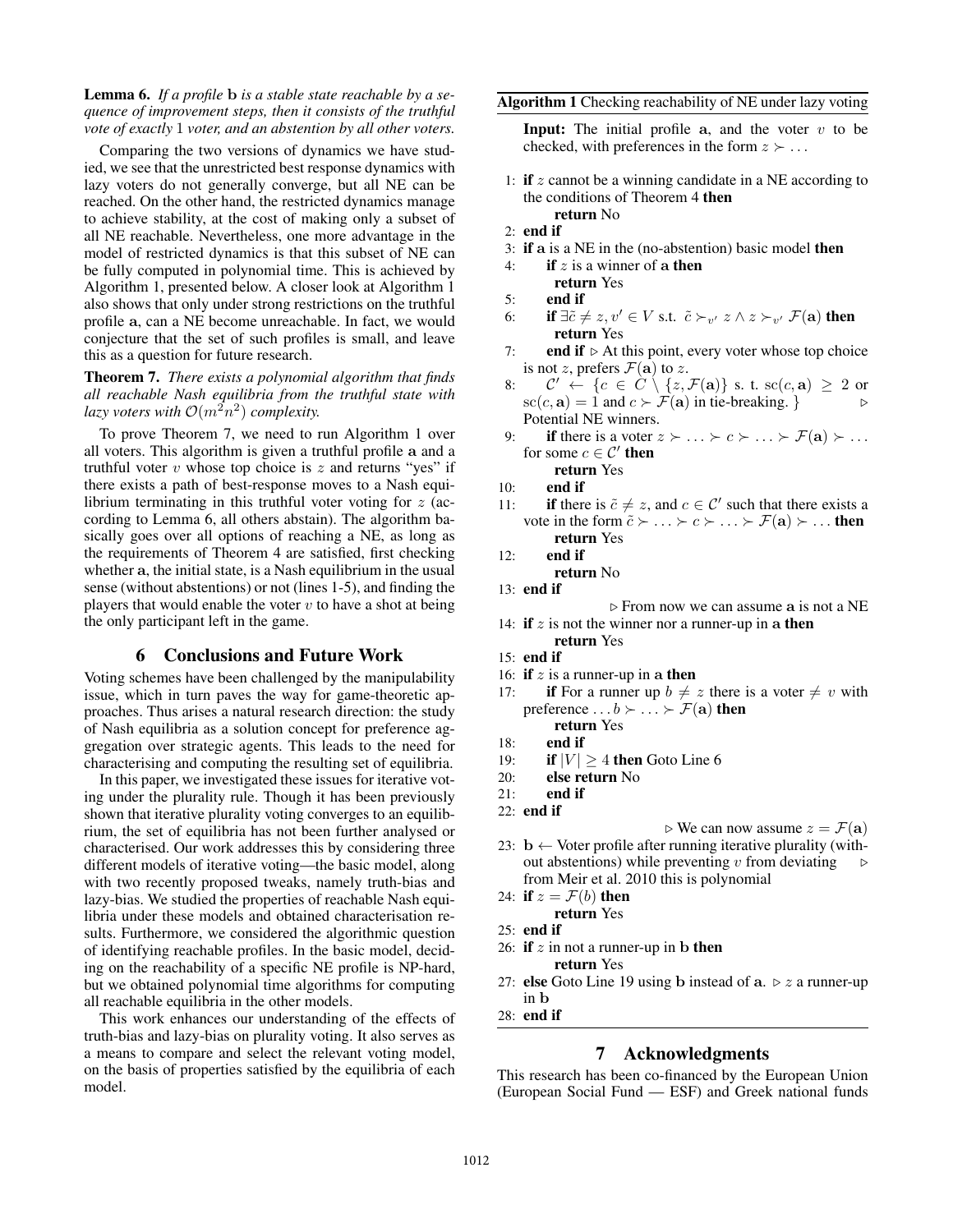Lemma 6. *If a profile* b *is a stable state reachable by a sequence of improvement steps, then it consists of the truthful vote of exactly* 1 *voter, and an abstention by all other voters.*

Comparing the two versions of dynamics we have studied, we see that the unrestricted best response dynamics with lazy voters do not generally converge, but all NE can be reached. On the other hand, the restricted dynamics manage to achieve stability, at the cost of making only a subset of all NE reachable. Nevertheless, one more advantage in the model of restricted dynamics is that this subset of NE can be fully computed in polynomial time. This is achieved by Algorithm 1, presented below. A closer look at Algorithm 1 also shows that only under strong restrictions on the truthful profile a, can a NE become unreachable. In fact, we would conjecture that the set of such profiles is small, and leave this as a question for future research.

Theorem 7. *There exists a polynomial algorithm that finds all reachable Nash equilibria from the truthful state with lazy voters with*  $\mathcal{O}(m^2n^2)$  *complexity.* 

To prove Theorem 7, we need to run Algorithm 1 over all voters. This algorithm is given a truthful profile a and a truthful voter  $v$  whose top choice is  $z$  and returns "yes" if there exists a path of best-response moves to a Nash equilibrium terminating in this truthful voter voting for  $z$  (according to Lemma 6, all others abstain). The algorithm basically goes over all options of reaching a NE, as long as the requirements of Theorem 4 are satisfied, first checking whether a, the initial state, is a Nash equilibrium in the usual sense (without abstentions) or not (lines 1-5), and finding the players that would enable the voter  $v$  to have a shot at being the only participant left in the game.

#### 6 Conclusions and Future Work

Voting schemes have been challenged by the manipulability issue, which in turn paves the way for game-theoretic approaches. Thus arises a natural research direction: the study of Nash equilibria as a solution concept for preference aggregation over strategic agents. This leads to the need for characterising and computing the resulting set of equilibria.

In this paper, we investigated these issues for iterative voting under the plurality rule. Though it has been previously shown that iterative plurality voting converges to an equilibrium, the set of equilibria has not been further analysed or characterised. Our work addresses this by considering three different models of iterative voting—the basic model, along with two recently proposed tweaks, namely truth-bias and lazy-bias. We studied the properties of reachable Nash equilibria under these models and obtained characterisation results. Furthermore, we considered the algorithmic question of identifying reachable profiles. In the basic model, deciding on the reachability of a specific NE profile is NP-hard, but we obtained polynomial time algorithms for computing all reachable equilibria in the other models.

This work enhances our understanding of the effects of truth-bias and lazy-bias on plurality voting. It also serves as a means to compare and select the relevant voting model, on the basis of properties satisfied by the equilibria of each model.

**Input:** The initial profile  $a$ , and the voter  $v$  to be checked, with preferences in the form  $z \succ \ldots$ 

- 1: if  $z$  cannot be a winning candidate in a NE according to the conditions of Theorem 4 then return No
- 2: end if
- 3: if a is a NE in the (no-abstention) basic model then
- 4: **if** z is a winner of a then
- return Yes
- 5: end if
- 6: if  $\exists \tilde{c} \neq z, v' \in V$  s.t.  $\tilde{c} \succ_{v'} z \wedge z \succ_{v'} \mathcal{F}(\mathbf{a})$  then return Yes
- 7: **end if**  $\triangleright$  At this point, every voter whose top choice is not z, prefers  $\mathcal{F}(\mathbf{a})$  to z.
- 8:  $\mathcal{C}' \leftarrow \{c \in \mathcal{C} \setminus \{z, \mathcal{F}(\mathbf{a})\} \text{ s. t. sc}(c, \mathbf{a}) \geq 2 \text{ or }$  $\mathrm{sc}(c, \mathbf{a}) = 1$  and  $c \succ \mathcal{F}(\mathbf{a})$  in tie-breaking. } Potential NE winners.
- 9: if there is a voter  $z \succ \ldots \succ c \succ \ldots \succ \mathcal{F}(\mathbf{a}) \succ \ldots$ for some  $c \in \mathcal{C}'$  then return Yes
- 10: end if
- 11: **if** there is  $\tilde{c} \neq z$ , and  $c \in \mathcal{C}'$  such that there exists a vote in the form  $\tilde{c} \succ ... \succ c \succ ... \succ \mathcal{F}(\mathbf{a}) \succ ...$  then return Yes
- 12: end if

return No

13: end if

 $\triangleright$  From now we can assume a is not a NE

- 14: if  $z$  is not the winner nor a runner-up in a then return Yes
- 15: end if
- 16: if  $z$  is a runner-up in a then
- 17: **if** For a runner up  $b \neq z$  there is a voter  $\neq v$  with preference  $\ldots b \succ \ldots \succ \mathcal{F}(\mathbf{a})$  then return Yes
- 18: end if
- 19: **if**  $|V| \ge 4$  then Goto Line 6
- 20: else return No
- $21:$  end if
- 22: end if

 $\triangleright$  We can now assume  $z = \mathcal{F}(\mathbf{a})$ 

- 23:  $\mathbf{b} \leftarrow$  Voter profile after running iterative plurality (without abstentions) while preventing  $v$  from deviating from Meir et al. 2010 this is polynomial
- 24: if  $z = \mathcal{F}(b)$  then return Yes
- 25: end if
- 26: if  $z$  in not a runner-up in b then
	- return Yes
- 27: else Goto Line 19 using b instead of  $a. \triangleright z$  a runner-up in b
- 28: end if

## 7 Acknowledgments

This research has been co-financed by the European Union (European Social Fund — ESF) and Greek national funds